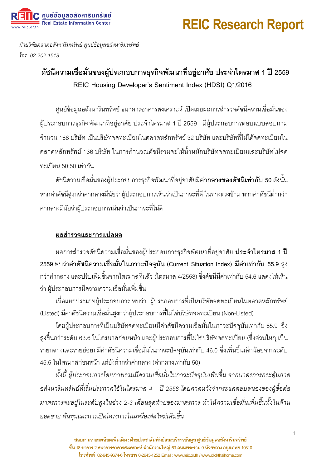# **REIC Research Report**

ฝ่ายวิจัยตลาดอสังหาริมทรัพย์ ศูนย์ข้อมูลอสังหาริมทรัพย์ *. 02-202-1518* 

C ศูนย์ข้อมูลอสังหาริมทรัพย์ **Real Estate Information Center** 

## ดัชนีความเชื่อมั่นของผู้ประกอบการธุรกิจพัฒนาที่อยู่อาศัย ประจำไตรมาส 1 ปี 2559 REIC Housing Developer's Sentiment Index (HDSI) Q1/2016

ศูนย์ข้อมูลอสังหาริมทรัพย์ ธนาคารอาคารสงเคราะห์ เปิดเผยผลการสำรวจดัชนีความเชื่อมั่นของ ผู้ประกอบการธุรกิจพัฒนาที่อยู่อาศัย ประจำไตรมาส 1 ปี 2559 มีผู้ประกอบการตอบแบบสอบถาม ้จำนวน 168 บริษัท เป็นบริษัทจดทะเบียนในตลาดหลักทรัพย์ 32 บริษัท และบริษัทที่ไม่ได้จดทะเบียนใน ้ตลาดหลักทรัพย์ 136 บริษัท ในการคำนวณดัชนีรวมจะให้น้ำหนักบริษัทจดทะเบียนและบริษัทไม่จด ทะเบียน 50:50 เท่ากัน

ดัชนีความเชื่อมั่นของผู้ประกอบการธุรกิจพัฒนาที่อยู่อาศัยมี**ค่ากลางของดัชนีเท่ากับ 50** ดังนั้น หากค่าดัชนีสูงกว่าค่ากลางมีนัยว่าผู้ประกอบการเห็นว่าเป็นภาวะที่ดี ในทางตรงข้าม หากค่าดัชนีต่ำกว่า ค่ากลางมีนัยว่าผู้ประกอบการเห็นว่าเป็นภาวะที่ไม่ดี

#### <u>ผลสำรวจและการแปลผล</u>

ผลการสำรวจดัชนีความเชื่อมั่นของผู้ประกอบการธุรกิจพัฒนาที่อยู่อาศัย **ประจำไตรมาส 1 ปี** 2559 พบว่า**ค่าดัชนีความเชื่อมั่นในภาวะปัจจุบัน** (Current Situation Index) ม**ีค่าเท่ากับ** 55.9 สูง ึกว่าค่ากลาง และปรับเพิ่มขึ้นจากไตรมาสที่แล้ว (ไตรมาส 4/2558) ซึ่งดัชนีมีค่าเท่ากับ 54.6 แสดงให้เห็น ว่า ผู้ประกอบการมีความความเชื่อมั่นเพิ่มขึ้น

เมื่อแยกประเภทผู้ประกอบการ พบว่า ผู้ประกอบการที่เป็นบริษัทจดทะเบียนในตลาดหลักทรัพย์ (Listed) มีค่าดัชนีความเชื่อมั่นสูงกว่าผู้ประกอบการที่ไม่ใช่บริษัทจดทะเบียน (Non-Listed)

โดยผู้ประกอบการที่เป็นบริษัทจดทะเบียนมีค่าดัชนีความเชื่อมั่นในภาวะปัจจุบันเท่ากับ 65.9 ซึ่ง สูงขึ้นกว่าระดับ 63.6 ในไตรมาสก่อนหน้า และผู้ประกอบการที่ไม่ใช่บริษัทจดทะเบียน (ซึ่งส่วนใหญ่เป็น รายกลางและรายย่อย) มีค่าดัชนีความเชื่อมั่นในภาวะปัจจุบันเท่ากับ 46.0 ซึ่งเพิ่มขึ้นเล็กน้อยจากระดับ 45.5 ในไตรมาสก่อนหน้า แต่ยังต่ำกว่าค่ากลาง (ค่ากลางเท่ากับ 50)

ทั้งนี้ ผู้ประกอบการโดยภาพรวมมีความเชื่อมั่นในภาวะปัจจุบันเพิ่มขึ้น จากมาตรการกระตุ้นภาค ือสังหาริมทรัพย์ที่เริ่มประกาศใช้ในไตรมาส 4 ปี 2558 โดยคาดหวังว่ากระแสตอบสนองของผู้ซื้อต่อ มาตรการจะอยู่ในระดับสูงในช่วง 2-3 เดือนสุดท้ายของมาตรการ ทำให้ความเชื่อมั่นเพิ่มขึ้นทั้งในด้าน ยอดขาย ต้นทุนและการเปิดโครงการใหม่หรือเฟสใหม่เพิ่มขึ้น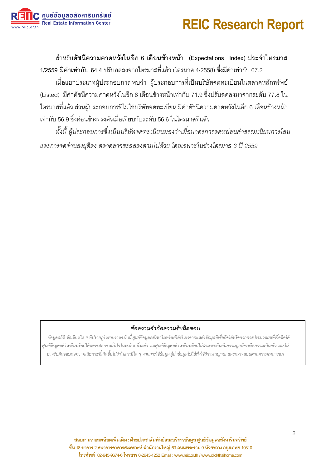# **REIC Research Report**



้ สำหรับ**ดัชนีความคาดหวังในอีก 6 เดือนข้างหน้า** (Expectations Index) ประจำไตรมา**ส** 1/2559 ม**ีค่าเท่ากับ** 64.4 ปรับลดลงจากไตรมาสที่แล้ว (ไตรมาส 4/2558) ซึ่งมีค่าเท่ากับ 67.2

เมื่อแยกประเภทผ้ประกอบการ พบว่า ผ้ประกอบการที่เป็นบริษัทจดทะเบียนในตลาดหลักทรัพย์ (Listed) มีค่าดัชนีความคาดหวังในอีก 6 เดือนข้างหน้าเท่ากับ 71.9 ซึ่งปรับลดลงมาจากระดับ 77.8 ใน ไตรมาสที่แล้ว ส่วนผู้ประกอบการที่ไม่ใช่บริษัทจดทะเบียน มีค่าดัชนีความคาดหวังในอีก 6 เดือนข้างหน้า เท่ากับ 56.9 ซึ่งค่อนข้างทรงตัวเมื่อเทียบกับระดับ 56.6 ในไตรมาสที่แล้ว

ทั้งนี้ ผู้ประกอบการซึ่งเป็นบริษัทจดทะเบียนมองว่าเมื่อมาตรการลดหย่อนค่าธรรมเนียมการโอน และการจดจำนองยุติลง ตลาดอาจชะลอลงตามไปด้วย โดยเฉพาะในช่วงไตรมาส 3 ปี 2559

#### ข้อความจำกัดความรับผิดชอบ

ข้อมูลสถิติ ข้อเขียนใด ๆ ที่ปรากฦในรายงานฉบับนี้ ศูนย์ข้อมูลอสังหาริมทรัพย์ได้รับมาจากแหล่งข้อมูลที่เชื่อถือได้หรือจากการประมวลผลที่เชื่อถือได้ ศูนย์ข้อมูลอสังหาริมทรัพย์ได้ตรวจสอบจนมั่นใจในระดับหนึ่งแล้ว แต่ศูนย์ข้อมูลอสังหาริมทรัพย์ไม่สามารถยืนยันความถูกต้องหรือความเป็นจริง และไม่ ่ อาจรับผิดชอบต่อความเสียหายที่เกิดขึ้นไม่ว่าในกรณีใด ๆ จากการใช้ข้อมูล ผู้นำข้อมูลไปใช้พึงใช้วิจารณญาณ และตรวจสอบตามความเหมาะสม

> ี สอบถามรายละเอียดเพิ่มเติม : ฝ่ายประชาสัมพันธ์และบริการข้อมูล ศูนย์ข้อมูลอสังหาริมทรัพย์ ชั้น 18 อาคาร 2 ธนาคารอาคารสงเคราะห์ สำนักงานใหญ่ 63 ถนนพระราม 9 ห้วยขวาง กรุงเทพฯ 10310 โทรศัพท์ 02-645-9674-6 โทรสาร 0-2643-1252 Email: www.reic.or.th / www.clickthaihome.com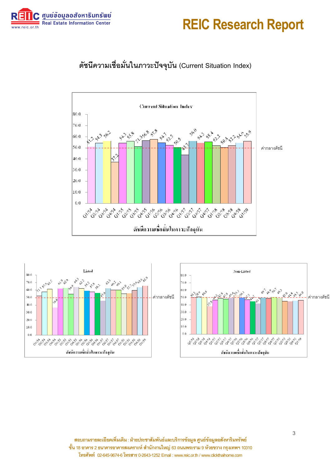





## ์ ดัชนีความเชื่อมั่นในภาวะปัจจุบัน (Current Situation Index)